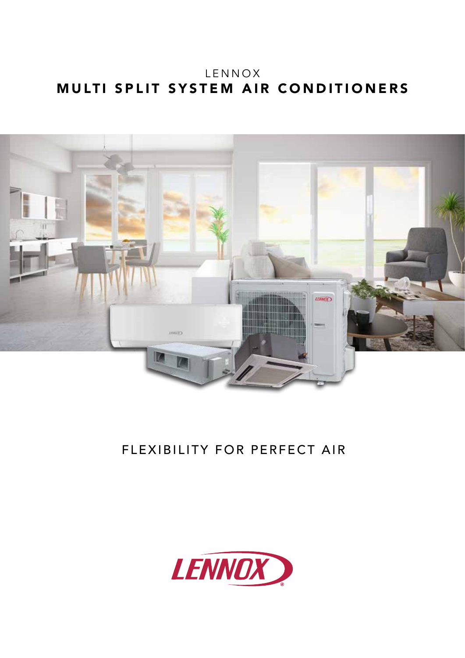LENNOX MULTI SPLIT SYSTEM AIR CONDITIONERS



## FLEXIBILITY FOR PERFECT AIR

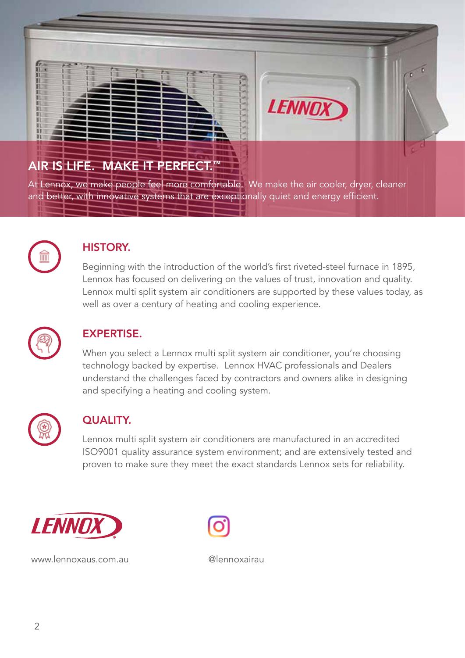



# AIR IS LIFE. MAKE IT PERFECT.™

At Lennox, we make people feel more comfortable. We make the air cooler, dryer, cleaner and better, with innovative systems that are exceptionally quiet and energy efficient.



## HISTORY.

Beginning with the introduction of the world's first riveted-steel furnace in 1895, Lennox has focused on delivering on the values of trust, innovation and quality. Lennox multi split system air conditioners are supported by these values today, as well as over a century of heating and cooling experience.



## EXPERTISE.

When you select a Lennox multi split system air conditioner, you're choosing technology backed by expertise. Lennox HVAC professionals and Dealers understand the challenges faced by contractors and owners alike in designing and specifying a heating and cooling system.



#### QUALITY.

Lennox multi split system air conditioners are manufactured in an accredited ISO9001 quality assurance system environment; and are extensively tested and proven to make sure they meet the exact standards Lennox sets for reliability.



www.lennoxaus.com.au @lennoxairau

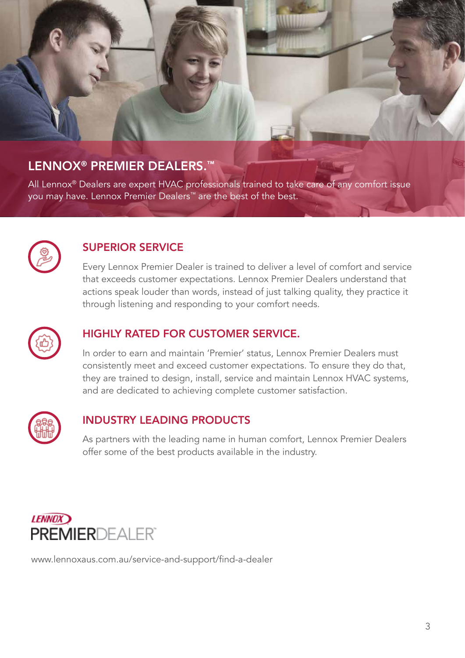# LENNOX® PREMIER DEALERS.™

All Lennox® Dealers are expert HVAC professionals trained to take care of any comfort issue you may have. Lennox Premier Dealers™ are the best of the best.



#### SUPERIOR SERVICE

Every Lennox Premier Dealer is trained to deliver a level of comfort and service that exceeds customer expectations. Lennox Premier Dealers understand that actions speak louder than words, instead of just talking quality, they practice it through listening and responding to your comfort needs.



#### HIGHLY RATED FOR CUSTOMER SERVICE.

In order to earn and maintain 'Premier' status, Lennox Premier Dealers must consistently meet and exceed customer expectations. To ensure they do that, they are trained to design, install, service and maintain Lennox HVAC systems, and are dedicated to achieving complete customer satisfaction.



#### INDUSTRY LEADING PRODUCTS

As partners with the leading name in human comfort, Lennox Premier Dealers offer some of the best products available in the industry.



www.lennoxaus.com.au/service-and-support/find-a-dealer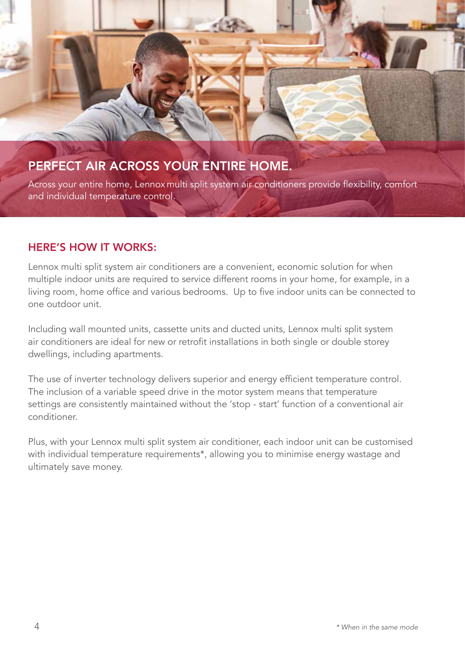# PERFECT AIR ACROSS YOUR ENTIRE HOME.

Across your entire home, Lennox multi split system air conditioners provide flexibility, comfort and individual temperature control.

#### HERE'S HOW IT WORKS:

Lennox multi split system air conditioners are a convenient, economic solution for when multiple indoor units are required to service different rooms in your home, for example, in a living room, home office and various bedrooms. Up to five indoor units can be connected to one outdoor unit.

Including wall mounted units, cassette units and ducted units, Lennox multi split system air conditioners are ideal for new or retrofit installations in both single or double storey dwellings, including apartments.

The use of inverter technology delivers superior and energy efficient temperature control. The inclusion of a variable speed drive in the motor system means that temperature settings are consistently maintained without the 'stop - start' function of a conventional air conditioner.

Plus, with your Lennox multi split system air conditioner, each indoor unit can be customised with individual temperature requirements<sup>\*</sup>, allowing you to minimise energy wastage and ultimately save money.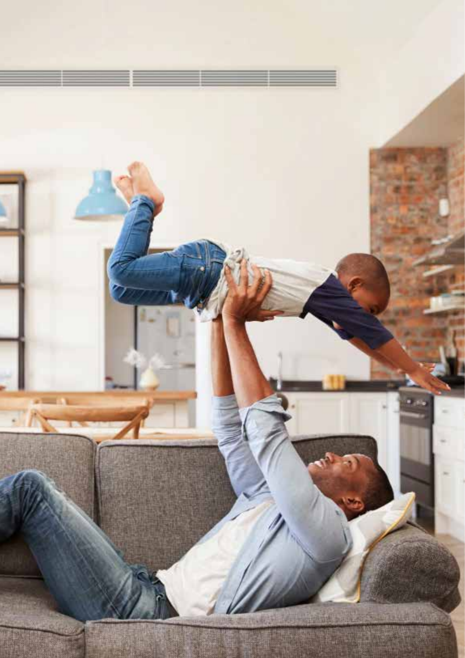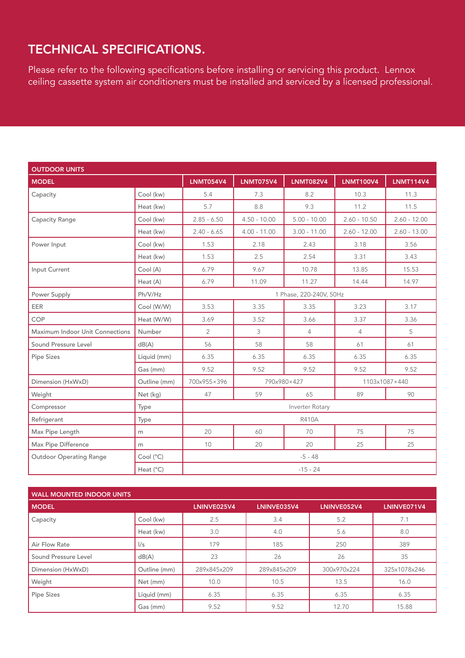# TECHNICAL SPECIFICATIONS.

Please refer to the following specifications before installing or servicing this product. Lennox ceiling cassette system air conditioners must be installed and serviced by a licensed professional.

| <b>OUTDOOR UNITS</b>            |                        |                  |                  |                         |                  |                  |
|---------------------------------|------------------------|------------------|------------------|-------------------------|------------------|------------------|
| <b>MODEL</b>                    |                        | <b>LNMT054V4</b> | <b>LNMT075V4</b> | <b>LNMT082V4</b>        | <b>LNMT100V4</b> | <b>LNMT114V4</b> |
| Capacity                        | Cool (kw)              | 5.4              | 7.3              | 8.2                     | 10.3             | 11.3             |
|                                 | Heat (kw)              | 5.7              | 8.8              | 9.3                     | 11.2             | 11.5             |
| Capacity Range                  | Cool (kw)              | $2.85 - 6.50$    | $4.50 - 10.00$   | $5.00 - 10.00$          | $2.60 - 10.50$   | $2.60 - 12.00$   |
|                                 | Heat (kw)              | $2.40 - 6.65$    | $4.00 - 11.00$   | $3.00 - 11.00$          | $2.60 - 12.00$   | $2.60 - 13.00$   |
| Power Input                     | Cool (kw)              | 1.53             | 2.18             | 2.43                    | 3.18             | 3.56             |
|                                 | Heat (kw)              | 1.53             | 2.5              | 2.54                    | 3.31             | 3.43             |
| Input Current                   | Cool (A)               | 6.79             | 9.67             | 10.78                   | 13.85            | 15.53            |
|                                 | Heat (A)               | 6.79             | 11.09            | 11.27                   | 14.44            | 14.97            |
| Power Supply                    | Ph/V/Hz                |                  |                  | 1 Phase, 220-240V, 50Hz |                  |                  |
| EER                             | Cool (W/W)             | 3.53             | 3.35             | 3.35                    | 3.23             | 3.17             |
| COP                             | Heat (W/W)             | 3.69             | 3.52             | 3.66                    | 3.37             | 3.36             |
| Maximum Indoor Unit Connections | Number                 | $\overline{2}$   | 3                | $\overline{4}$          | $\overline{4}$   | 5                |
| Sound Pressure Level            | dB(A)                  | 56               | 58               | 58                      | 61               | 61               |
| <b>Pipe Sizes</b>               | Liquid (mm)            | 6.35             | 6.35             | 6.35                    | 6.35             | 6.35             |
|                                 | Gas (mm)               | 9.52             | 9.52             | 9.52                    | 9.52             | 9.52             |
| Dimension (HxWxD)               | Outline (mm)           | 700x955×396      |                  | 790x980×427             |                  | 1103x1087×440    |
| Weight                          | Net (kg)               | 47               | 59               | 65                      | 89               | 90               |
| Compressor                      | Type                   |                  |                  | Inverter Rotary         |                  |                  |
| Refrigerant                     | Type                   |                  |                  | <b>R410A</b>            |                  |                  |
| Max Pipe Length                 | m                      | 20               | 60               | 70                      | 75               | 75               |
| Max Pipe Difference             | m                      | 10               | 20               | 20                      | 25               | 25               |
| <b>Outdoor Operating Range</b>  | Cool (°C)<br>$-5 - 48$ |                  |                  |                         |                  |                  |
|                                 | Heat (°C)              | $-15 - 24$       |                  |                         |                  |                  |

| <b>WALL MOUNTED INDOOR UNITS</b> |              |             |             |             |              |  |
|----------------------------------|--------------|-------------|-------------|-------------|--------------|--|
| <b>MODEL</b>                     |              | LNINVE025V4 | LNINVE035V4 | LNINVE052V4 | LNINVE071V4  |  |
| Capacity                         | Cool (kw)    | 2.5         | 3.4         | 5.2         | 7.1          |  |
|                                  | Heat (kw)    | 3.0         | 4.0         | 5.6         | 8.0          |  |
| Air Flow Rate                    | $\sqrt{s}$   | 179         | 185         | 250         | 389          |  |
| Sound Pressure Level             | dB(A)        | 23          | 26          | 26          | 35           |  |
| Dimension (HxWxD)                | Outline (mm) | 289x845x209 | 289x845x209 | 300x970x224 | 325x1078x246 |  |
| Weight                           | Net (mm)     | 10.0        | 10.5        | 13.5        | 16.0         |  |
| Pipe Sizes                       | Liquid (mm)  | 6.35        | 6.35        | 6.35        | 6.35         |  |
|                                  | Gas (mm)     | 9.52        | 9.52        | 12.70       | 15.88        |  |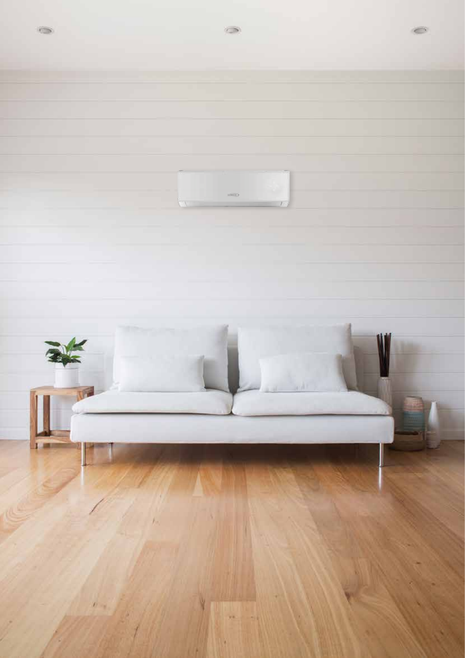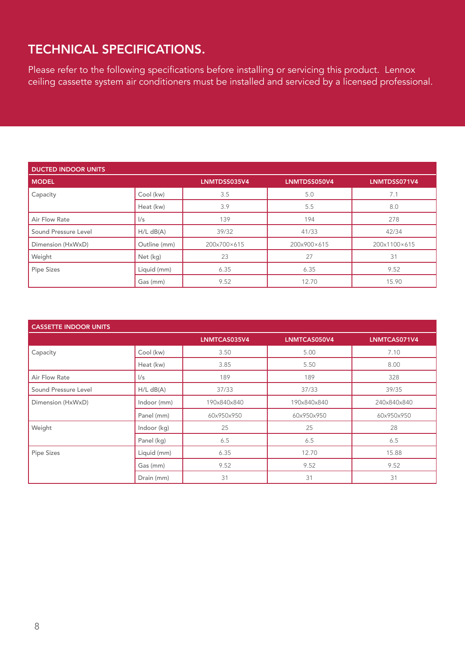# TECHNICAL SPECIFICATIONS.

Please refer to the following specifications before installing or servicing this product. Lennox ceiling cassette system air conditioners must be installed and serviced by a licensed professional.

| <b>DUCTED INDOOR UNITS</b> |               |              |              |              |
|----------------------------|---------------|--------------|--------------|--------------|
| <b>MODEL</b>               |               | LNMTDSS035V4 | LNMTDSS050V4 | LNMTDSS071V4 |
| Capacity                   | Cool (kw)     | 3.5          | 5.0          | 7.1          |
|                            | Heat (kw)     | 3.9          | 5.5          | 8.0          |
| Air Flow Rate              | $\frac{1}{s}$ | 139          | 194          | 278          |
| Sound Pressure Level       | $H/L$ dB(A)   | 39/32        | 41/33        | 42/34        |
| Dimension (HxWxD)          | Outline (mm)  | 200x700×615  | 200x900×615  | 200x1100×615 |
| Weight                     | Net (kg)      | 23           | 27           | 31           |
| <b>Pipe Sizes</b>          | Liquid (mm)   | 6.35         | 6.35         | 9.52         |
|                            | Gas (mm)      | 9.52         | 12.70        | 15.90        |

| <b>CASSETTE INDOOR UNITS</b> |               |              |              |              |
|------------------------------|---------------|--------------|--------------|--------------|
|                              |               | LNMTCAS035V4 | LNMTCAS050V4 | LNMTCAS071V4 |
| Capacity                     | Cool (kw)     | 3.50         | 5.00         | 7.10         |
|                              | Heat (kw)     | 3.85         | 5.50         | 8.00         |
| Air Flow Rate                | $\frac{1}{s}$ | 189          | 189          | 328          |
| Sound Pressure Level         | $H/L$ dB(A)   | 37/33        | 37/33        | 39/35        |
| Dimension (HxWxD)            | Indoor (mm)   | 190x840x840  | 190x840x840  | 240x840x840  |
|                              | Panel (mm)    | 60x950x950   | 60x950x950   | 60x950x950   |
| Weight                       | Indoor (kg)   | 25           | 25           | 28           |
|                              | Panel (kg)    | 6.5          | 6.5          | 6.5          |
| <b>Pipe Sizes</b>            | Liquid (mm)   | 6.35         | 12.70        | 15.88        |
|                              | Gas (mm)      | 9.52         | 9.52         | 9.52         |
|                              | Drain (mm)    | 31           | 31           | 31           |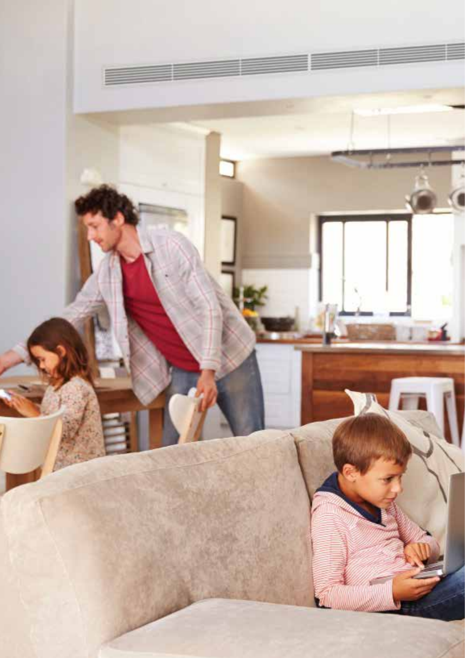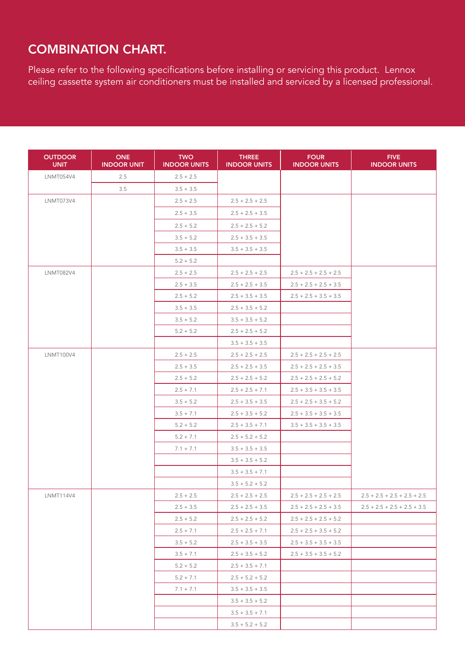## **COMBINATION CHART.**

Please refer to the following specifications before installing or servicing this product. Lennox ceiling cassette system air conditioners must be installed and serviced by a licensed professional.

| <b>OUTDOOR</b><br><b>UNIT</b> | <b>ONE</b><br><b>INDOOR UNIT</b> | <b>TWO</b><br><b>INDOOR UNITS</b> | <b>THREE</b><br><b>INDOOR UNITS</b> | <b>FOUR</b><br><b>INDOOR UNITS</b> | <b>FIVE</b><br><b>INDOOR UNITS</b> |
|-------------------------------|----------------------------------|-----------------------------------|-------------------------------------|------------------------------------|------------------------------------|
| <b>LNMT054V4</b>              | 2.5                              | $2.5 + 2.5$                       |                                     |                                    |                                    |
|                               | 3.5                              | $3.5 + 3.5$                       |                                     |                                    |                                    |
| <b>LNMT073V4</b>              |                                  | $2.5 + 2.5$                       | $2.5 + 2.5 + 2.5$                   |                                    |                                    |
|                               |                                  | $2.5 + 3.5$                       | $2.5 + 2.5 + 3.5$                   |                                    |                                    |
|                               |                                  | $2.5 + 5.2$                       | $2.5 + 2.5 + 5.2$                   |                                    |                                    |
|                               |                                  | $3.5 + 5.2$                       | $2.5 + 3.5 + 3.5$                   |                                    |                                    |
|                               |                                  | $3.5 + 3.5$                       | $3.5 + 3.5 + 3.5$                   |                                    |                                    |
|                               |                                  | $5.2 + 5.2$                       |                                     |                                    |                                    |
| LNMT082V4                     |                                  | $2.5 + 2.5$                       | $2.5 + 2.5 + 2.5$                   | $2.5 + 2.5 + 2.5 + 2.5$            |                                    |
|                               |                                  | $2.5 + 3.5$                       | $2.5 + 2.5 + 3.5$                   | $2.5 + 2.5 + 2.5 + 3.5$            |                                    |
|                               |                                  | $2.5 + 5.2$                       | $2.5 + 3.5 + 3.5$                   | $2.5 + 2.5 + 3.5 + 3.5$            |                                    |
|                               |                                  | $3.5 + 3.5$                       | $2.5 + 3.5 + 5.2$                   |                                    |                                    |
|                               |                                  | $3.5 + 5.2$                       | $3.5 + 3.5 + 5.2$                   |                                    |                                    |
|                               |                                  | $5.2 + 5.2$                       | $2.5 + 2.5 + 5.2$                   |                                    |                                    |
|                               |                                  |                                   | $3.5 + 3.5 + 3.5$                   |                                    |                                    |
| <b>LNMT100V4</b>              |                                  | $2.5 + 2.5$                       | $2.5 + 2.5 + 2.5$                   | $2.5 + 2.5 + 2.5 + 2.5$            |                                    |
|                               |                                  | $2.5 + 3.5$                       | $2.5 + 2.5 + 3.5$                   | $2.5 + 2.5 + 2.5 + 3.5$            |                                    |
|                               |                                  | $2.5 + 5.2$                       | $2.5 + 2.5 + 5.2$                   | $2.5 + 2.5 + 2.5 + 5.2$            |                                    |
|                               |                                  | $2.5 + 7.1$                       | $2.5 + 2.5 + 7.1$                   | $2.5 + 3.5 + 3.5 + 3.5$            |                                    |
|                               |                                  | $3.5 + 5.2$                       | $2.5 + 3.5 + 3.5$                   | $2.5 + 2.5 + 3.5 + 5.2$            |                                    |
|                               |                                  | $3.5 + 7.1$                       | $2.5 + 3.5 + 5.2$                   | $2.5 + 3.5 + 3.5 + 3.5$            |                                    |
|                               |                                  | $5.2 + 5.2$                       | $2.5 + 3.5 + 7.1$                   | $3.5 + 3.5 + 3.5 + 3.5$            |                                    |
|                               |                                  | $5.2 + 7.1$                       | $2.5 + 5.2 + 5.2$                   |                                    |                                    |
|                               |                                  | $7.1 + 7.1$                       | $3.5 + 3.5 + 3.5$                   |                                    |                                    |
|                               |                                  |                                   | $3.5 + 3.5 + 5.2$                   |                                    |                                    |
|                               |                                  |                                   | $3.5 + 3.5 + 7.1$                   |                                    |                                    |
|                               |                                  |                                   | $3.5 + 5.2 + 5.2$                   |                                    |                                    |
| <b>LNMT114V4</b>              |                                  | $2.5 + 2.5$                       | $2.5 + 2.5 + 2.5$                   | $2.5 + 2.5 + 2.5 + 2.5$            | $2.5 + 2.5 + 2.5 + 2.5 + 2.5$      |
|                               |                                  | $2.5 + 3.5$                       | $2.5 + 2.5 + 3.5$                   | $2.5 + 2.5 + 2.5 + 3.5$            | $2.5 + 2.5 + 2.5 + 2.5 + 3.5$      |
|                               |                                  | $2.5 + 5.2$                       | $2.5 + 2.5 + 5.2$                   | $2.5 + 2.5 + 2.5 + 5.2$            |                                    |
|                               |                                  | $2.5 + 7.1$                       | $2.5 + 2.5 + 7.1$                   | $2.5 + 2.5 + 3.5 + 5.2$            |                                    |
|                               |                                  | $3.5 + 5.2$                       | $2.5 + 3.5 + 3.5$                   | $2.5 + 3.5 + 3.5 + 3.5$            |                                    |
|                               |                                  | $3.5 + 7.1$                       | $2.5 + 3.5 + 5.2$                   | $2.5 + 3.5 + 3.5 + 5.2$            |                                    |
|                               |                                  | $5.2 + 5.2$                       | $2.5 + 3.5 + 7.1$                   |                                    |                                    |
|                               |                                  | $5.2 + 7.1$                       | $2.5 + 5.2 + 5.2$                   |                                    |                                    |
|                               |                                  | $7.1 + 7.1$                       | $3.5 + 3.5 + 3.5$                   |                                    |                                    |
|                               |                                  |                                   | $3.5 + 3.5 + 5.2$                   |                                    |                                    |
|                               |                                  |                                   | $3.5 + 3.5 + 7.1$                   |                                    |                                    |
|                               |                                  |                                   | $3.5 + 5.2 + 5.2$                   |                                    |                                    |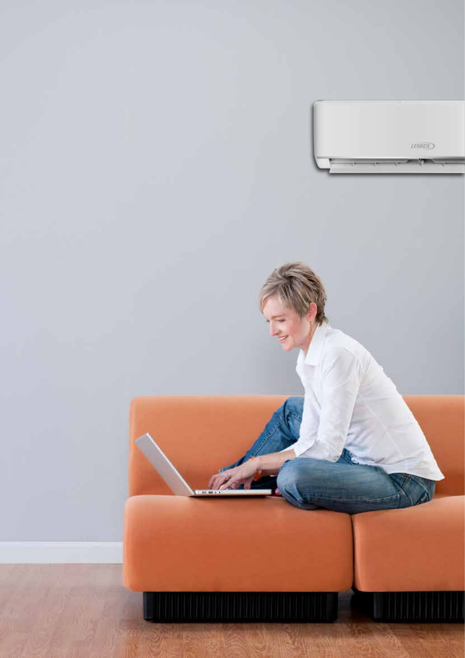